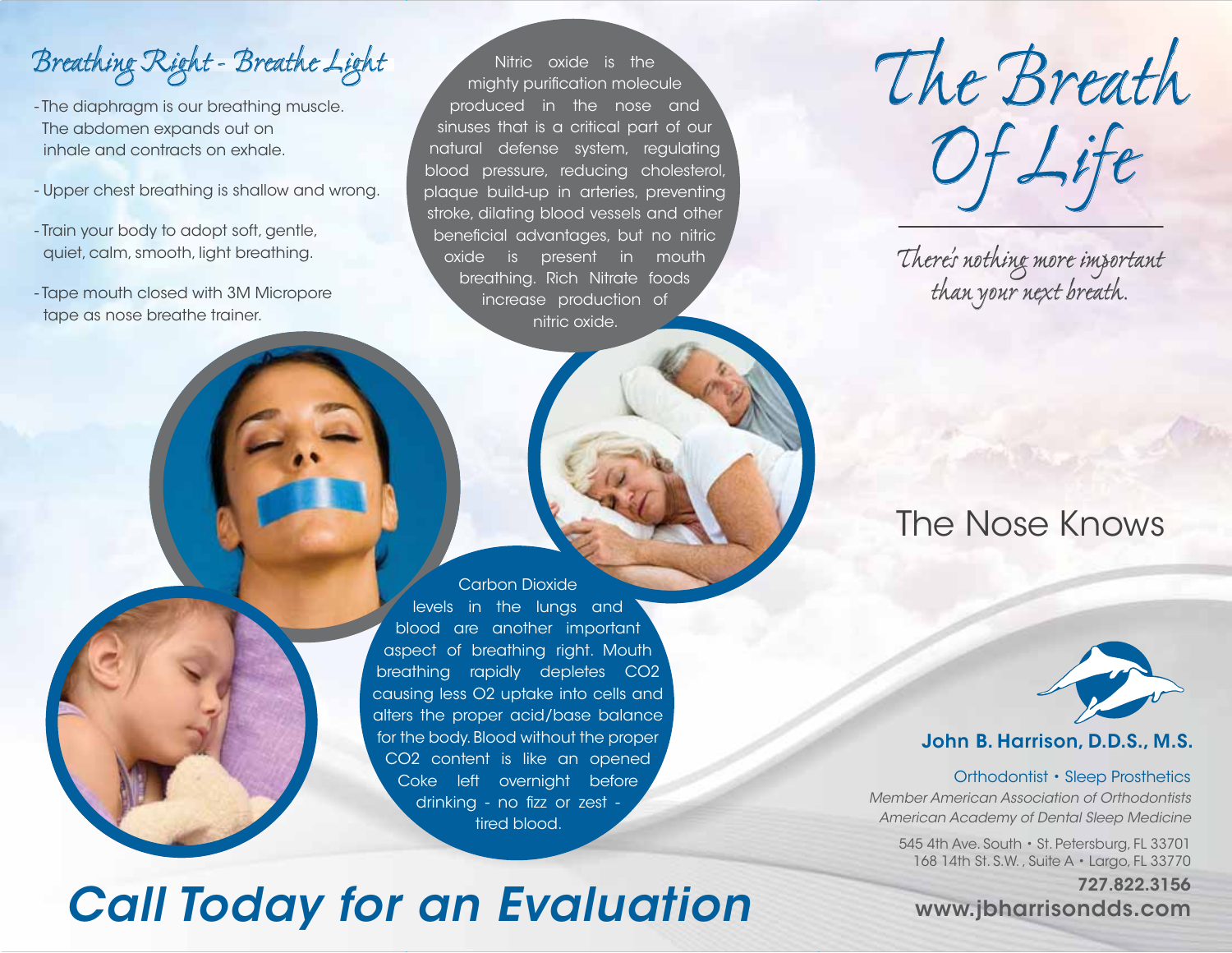Breathing Right - Breathe Light

- The diaphragm is our breathing muscle. The abdomen expands out on inhale and contracts on exhale.
- Upper chest breathing is shallow and wrong.
- Train your body to adopt soft, gentle, quiet, calm, smooth, light breathing.
- Tape mouth closed with 3M Micropore tape as nose breathe trainer.

Nitric oxide is the mighty purification molecule produced in the nose and sinuses that is a critical part of our natural defense system, regulating blood pressure, reducing cholesterol, plaque build-up in arteries, preventing stroke, dilating blood vessels and other beneficial advantages, but no nitric oxide is present in mouth breathing. Rich Nitrate foods increase production of nitric oxide.



# *Call Today for an Evaluation*

The Breath Of Life

There's nothing more important than your next breath.

### The Nose Knows



#### **John B. Harrison, D.D.S., M.S.**

#### Orthodontist • Sleep Prosthetics

Member American Association of OrthodontistsAmerican Academy of Dental Sleep Medicine

545 4th Ave. South • St. Petersburg, FL 33701 168 14th St. S.W. , Suite A • Largo, FL 33770

#### **727.822.3156www.jbharrisondds.com**